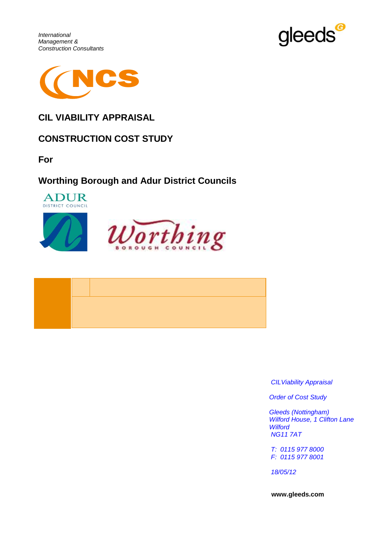





### **CIL VIABILITY APPRAISAL**

### **CONSTRUCTION COST STUDY**

**For**

### **Worthing Borough and Adur District Councils**







*CILViability Appraisal*

*Order of Cost Study*

*Gleeds (Nottingham) Wilford House, 1 Clifton Lane Wilford NG11 7AT*

*T: 0115 977 8000 F: 0115 977 8001*

*18/05/12*

**www.gleeds.com**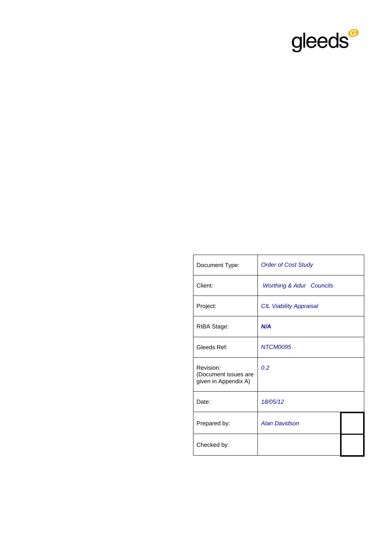

| Document Type:                                            | <b>Order of Cost Study</b>          |  |
|-----------------------------------------------------------|-------------------------------------|--|
| Client:                                                   | <b>Worthing &amp; Adur Councils</b> |  |
| Project:                                                  | <b>CIL Viability Appraisal</b>      |  |
| RIBA Stage:                                               | N/A                                 |  |
| Gleeds Ref:                                               | NTCM0095                            |  |
| Revision:<br>(Document issues are<br>given in Appendix A) | 0.2                                 |  |
| Date:                                                     | 18/05/12                            |  |
| Prepared by:                                              | <b>Alan Davidson</b>                |  |
| Checked by:                                               |                                     |  |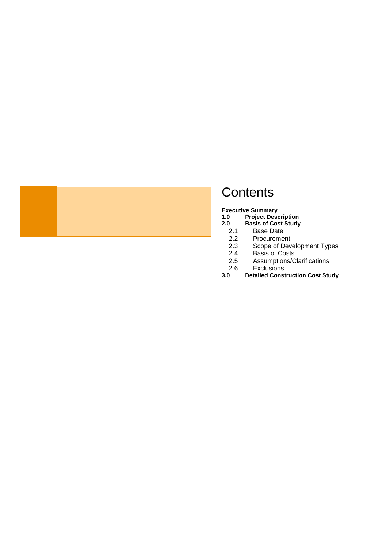## **Contents**

**[Executive](#page-3-0) Summary**

- **1.0 [Project Description](#page-3-1)**
- **2.0 [Basis of Cost S](#page-5-0)tudy**
	- 2.1 Base Date<br>2.2 Procureme
	-
	- 2.2 Procurement<br>2.3 Scope of Dev 2.3 Scope of Development Types<br>2.4 Basis of Costs
	-
	- 2.4 Basis of Costs<br>2.5 Assumptions/C Assumptions/Clarifications
- 2.6 Exclusions<br>3.0 Detailed Const
- **[3.0](#page-7-0) Detailed Construction Cost Study**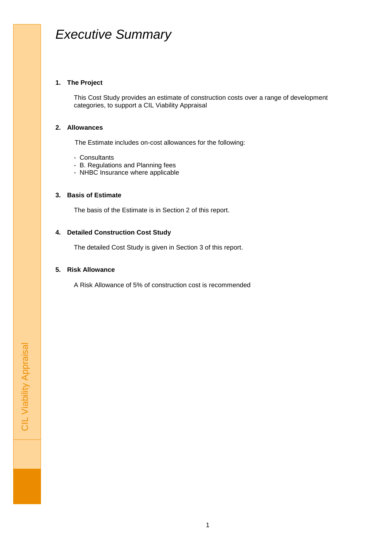## <span id="page-3-0"></span>*Executive Summary*

### **1. The Project**

This Cost Study provides an estimate of construction costs over a range of development categories, to support a CIL Viability Appraisal

### **2. Allowances**

The Estimate includes on-cost allowances for the following:

- Consultants
- B. Regulations and Planning fees
- NHBC Insurance where applicable

### **3. Basis of Estimate**

The basis of the Estimate is in Section 2 of this report.

### **4. Detailed Construction Cost Study**

The detailed Cost Study is given in Section 3 of this report.

### **5. Risk Allowance**

<span id="page-3-1"></span>A Risk Allowance of 5% of construction cost is recommended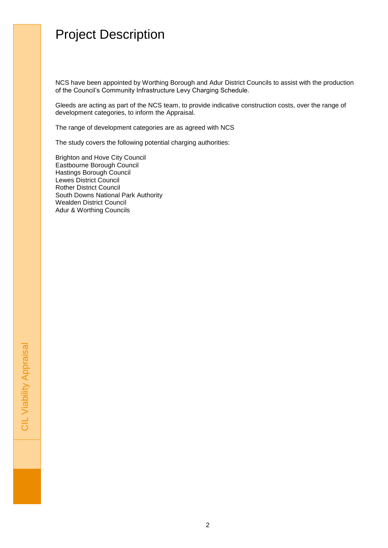## Project Description

NCS have been appointed by Worthing Borough and Adur District Councils to assist with the production of the Council's Community Infrastructure Levy Charging Schedule.

Gleeds are acting as part of the NCS team, to provide indicative construction costs, over the range of development categories, to inform the Appraisal.

The range of development categories are as agreed with NCS

The study covers the following potential charging authorities:

Brighton and Hove City Council Eastbourne Borough Council Hastings Borough Council Lewes District Council Rother District Council South Downs National Park Authority Wealden District Council Adur & Worthing Councils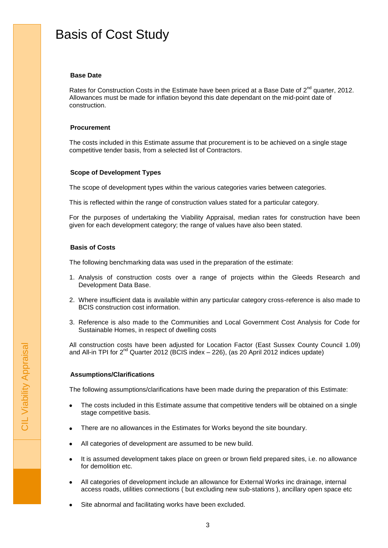## <span id="page-5-0"></span>Basis of Cost Study

### **Base Date**

Rates for Construction Costs in the Estimate have been priced at a Base Date of  $2^{nd}$  quarter, 2012. Allowances must be made for inflation beyond this date dependant on the mid-point date of construction.

#### **Procurement**

The costs included in this Estimate assume that procurement is to be achieved on a single stage competitive tender basis, from a selected list of Contractors.

#### **Scope of Development Types**

The scope of development types within the various categories varies between categories.

This is reflected within the range of construction values stated for a particular category.

For the purposes of undertaking the Viability Appraisal, median rates for construction have been given for each development category; the range of values have also been stated.

### **Basis of Costs**

The following benchmarking data was used in the preparation of the estimate:

- 1. Analysis of construction costs over a range of projects within the Gleeds Research and Development Data Base.
- 2. Where insufficient data is available within any particular category cross-reference is also made to BCIS construction cost information.
- 3. Reference is also made to the Communities and Local Government Cost Analysis for Code for Sustainable Homes, in respect of dwelling costs

All construction costs have been adjusted for Location Factor (East Sussex County Council 1.09) and All-in TPI for 2<sup>nd</sup> Quarter 2012 (BCIS index - 226), (as 20 April 2012 indices update)

#### **Assumptions/Clarifications**

The following assumptions/clarifications have been made during the preparation of this Estimate:

- The costs included in this Estimate assume that competitive tenders will be obtained on a single stage competitive basis.
- There are no allowances in the Estimates for Works beyond the site boundary.  $\bullet$
- All categories of development are assumed to be new build.
- It is assumed development takes place on green or brown field prepared sites, i.e. no allowance for demolition etc.
- All categories of development include an allowance for External Works inc drainage, internal access roads, utilities connections ( but excluding new sub-stations ), ancillary open space etc
- Site abnormal and facilitating works have been excluded.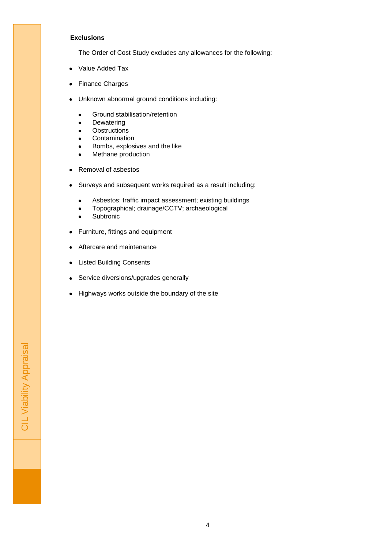### **Exclusions**

The Order of Cost Study excludes any allowances for the following:

- Value Added Tax  $\bullet$
- **Finance Charges**  $\bullet$
- Unknown abnormal ground conditions including:  $\bullet$ 
	- Ground stabilisation/retention
	- Dewatering
	- **Obstructions**
	- Contamination
	- Bombs, explosives and the like
	- Methane production  $\bullet$
- Removal of asbestos  $\bullet$
- Surveys and subsequent works required as a result including:  $\bullet$ 
	- Asbestos; traffic impact assessment; existing buildings
	- Topographical; drainage/CCTV; archaeological  $\bullet$
	- Subtronic
- Furniture, fittings and equipment  $\bullet$
- Aftercare and maintenance  $\bullet$
- Listed Building Consents  $\bullet$
- Service diversions/upgrades generally  $\bullet$
- Highways works outside the boundary of the site  $\bullet$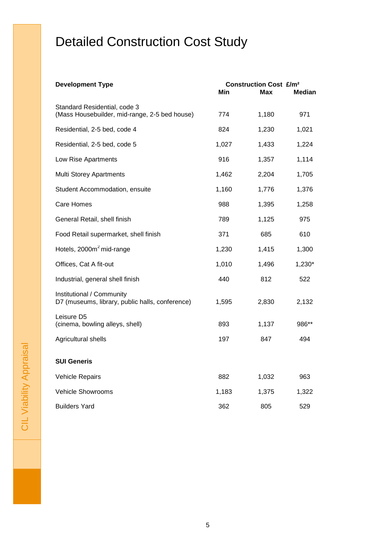# <span id="page-7-0"></span>Detailed Construction Cost Study

| <b>Development Type</b>                                                       | Min   | <b>Construction Cost £/m<sup>2</sup></b><br>Max | Median |
|-------------------------------------------------------------------------------|-------|-------------------------------------------------|--------|
| Standard Residential, code 3<br>(Mass Housebuilder, mid-range, 2-5 bed house) | 774   | 1,180                                           | 971    |
| Residential, 2-5 bed, code 4                                                  | 824   | 1,230                                           | 1,021  |
| Residential, 2-5 bed, code 5                                                  | 1,027 | 1,433                                           | 1,224  |
| Low Rise Apartments                                                           | 916   | 1,357                                           | 1,114  |
| <b>Multi Storey Apartments</b>                                                | 1,462 | 2,204                                           | 1,705  |
| Student Accommodation, ensuite                                                | 1,160 | 1,776                                           | 1,376  |
| Care Homes                                                                    | 988   | 1,395                                           | 1,258  |
| General Retail, shell finish                                                  | 789   | 1,125                                           | 975    |
| Food Retail supermarket, shell finish                                         | 371   | 685                                             | 610    |
| Hotels, 2000m <sup>2</sup> mid-range                                          | 1,230 | 1,415                                           | 1,300  |
| Offices, Cat A fit-out                                                        | 1,010 | 1,496                                           | 1,230* |
| Industrial, general shell finish                                              | 440   | 812                                             | 522    |
| Institutional / Community<br>D7 (museums, library, public halls, conference)  | 1,595 | 2,830                                           | 2,132  |
| Leisure D5<br>(cinema, bowling alleys, shell)                                 | 893   | 1,137                                           | 986**  |
| Agricultural shells                                                           | 197   | 847                                             | 494    |
| <b>SUI Generis</b>                                                            |       |                                                 |        |
| <b>Vehicle Repairs</b>                                                        | 882   | 1,032                                           | 963    |
| Vehicle Showrooms                                                             | 1,183 | 1,375                                           | 1,322  |
| <b>Builders Yard</b>                                                          | 362   | 805                                             | 529    |